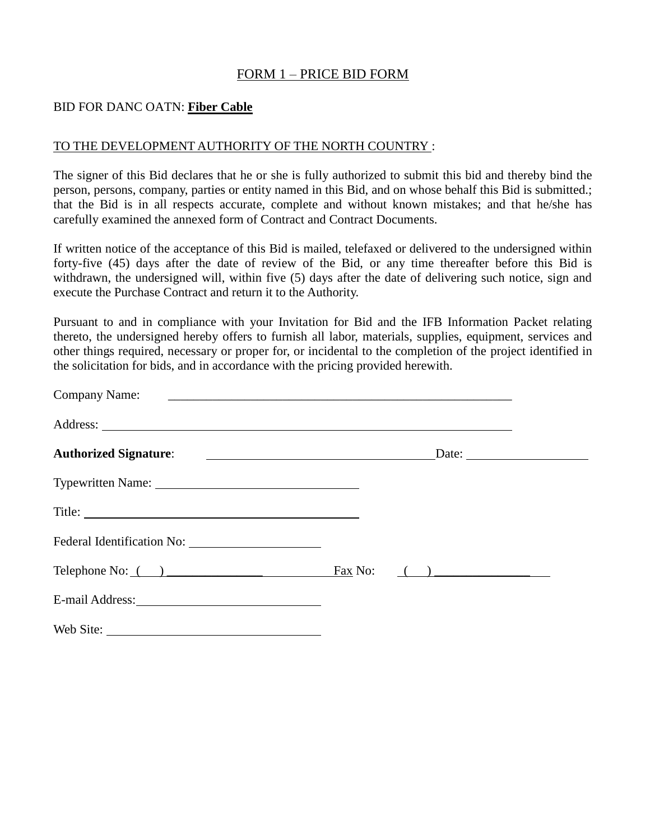### FORM 1 – PRICE BID FORM

#### BID FOR DANC OATN: **Fiber Cable**

#### TO THE DEVELOPMENT AUTHORITY OF THE NORTH COUNTRY :

The signer of this Bid declares that he or she is fully authorized to submit this bid and thereby bind the person, persons, company, parties or entity named in this Bid, and on whose behalf this Bid is submitted.; that the Bid is in all respects accurate, complete and without known mistakes; and that he/she has carefully examined the annexed form of Contract and Contract Documents.

If written notice of the acceptance of this Bid is mailed, telefaxed or delivered to the undersigned within forty-five (45) days after the date of review of the Bid, or any time thereafter before this Bid is withdrawn, the undersigned will, within five (5) days after the date of delivering such notice, sign and execute the Purchase Contract and return it to the Authority.

Pursuant to and in compliance with your Invitation for Bid and the IFB Information Packet relating thereto, the undersigned hereby offers to furnish all labor, materials, supplies, equipment, services and other things required, necessary or proper for, or incidental to the completion of the project identified in the solicitation for bids, and in accordance with the pricing provided herewith.

| Authorized Signature:    | $\Box$ Date: $\Box$                                       |  |
|--------------------------|-----------------------------------------------------------|--|
|                          |                                                           |  |
| Title:                   |                                                           |  |
|                          |                                                           |  |
|                          | $\begin{pmatrix} 1 & 1 \\ 1 & 1 \end{pmatrix}$<br>Fax No: |  |
| E-mail Address: No. 1998 |                                                           |  |
|                          |                                                           |  |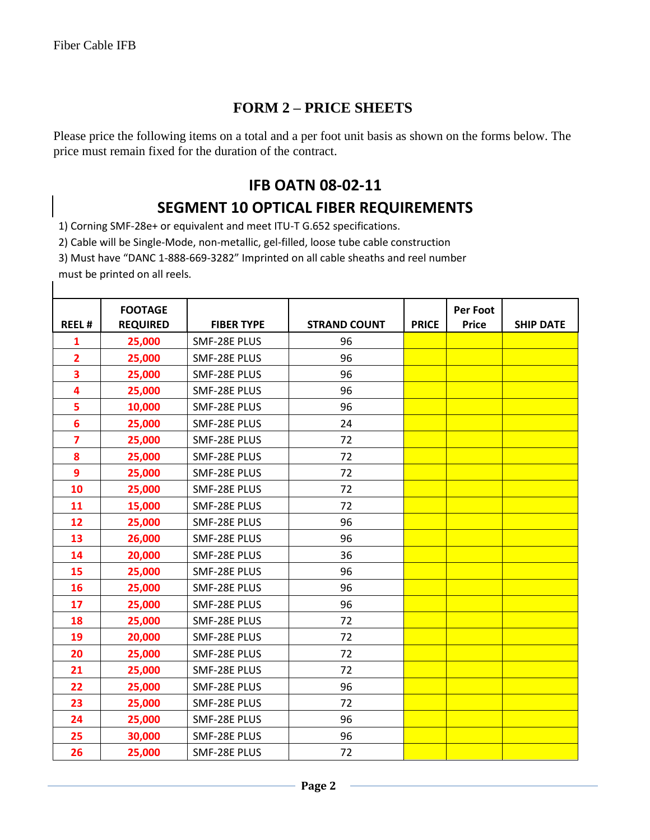## **FORM 2 – PRICE SHEETS**

Please price the following items on a total and a per foot unit basis as shown on the forms below. The price must remain fixed for the duration of the contract.

# **IFB OATN 08-02-11**

# **SEGMENT 10 OPTICAL FIBER REQUIREMENTS**

1) Corning SMF-28e+ or equivalent and meet ITU-T G.652 specifications.

2) Cable will be Single-Mode, non-metallic, gel-filled, loose tube cable construction

3) Must have "DANC 1-888-669-3282" Imprinted on all cable sheaths and reel number

must be printed on all reels.

| <b>REEL#</b>            | <b>FOOTAGE</b><br><b>REQUIRED</b> | <b>FIBER TYPE</b> | <b>STRAND COUNT</b> | <b>PRICE</b> | Per Foot<br><b>Price</b> | <b>SHIP DATE</b> |
|-------------------------|-----------------------------------|-------------------|---------------------|--------------|--------------------------|------------------|
| 1                       | 25,000                            | SMF-28E PLUS      | 96                  |              |                          |                  |
| $\overline{2}$          | 25,000                            | SMF-28E PLUS      | 96                  |              |                          |                  |
| $\overline{\mathbf{3}}$ | 25,000                            | SMF-28E PLUS      | 96                  |              |                          |                  |
| 4                       | 25,000                            | SMF-28E PLUS      | 96                  |              |                          |                  |
| 5                       | 10,000                            | SMF-28E PLUS      | 96                  |              |                          |                  |
| $6\phantom{1}6$         | 25,000                            | SMF-28E PLUS      | 24                  |              |                          |                  |
| 7                       | 25,000                            | SMF-28E PLUS      | 72                  |              |                          |                  |
| 8                       | 25,000                            | SMF-28E PLUS      | 72                  |              |                          |                  |
| $\boldsymbol{9}$        | 25,000                            | SMF-28E PLUS      | 72                  |              |                          |                  |
| 10                      | 25,000                            | SMF-28E PLUS      | 72                  |              |                          |                  |
| 11                      | 15,000                            | SMF-28E PLUS      | 72                  |              |                          |                  |
| 12                      | 25,000                            | SMF-28E PLUS      | 96                  |              |                          |                  |
| 13                      | 26,000                            | SMF-28E PLUS      | 96                  |              |                          |                  |
| 14                      | 20,000                            | SMF-28E PLUS      | 36                  |              |                          |                  |
| 15                      | 25,000                            | SMF-28E PLUS      | 96                  |              |                          |                  |
| 16                      | 25,000                            | SMF-28E PLUS      | 96                  |              |                          |                  |
| 17                      | 25,000                            | SMF-28E PLUS      | 96                  |              |                          |                  |
| 18                      | 25,000                            | SMF-28E PLUS      | 72                  |              |                          |                  |
| 19                      | 20,000                            | SMF-28E PLUS      | 72                  |              |                          |                  |
| 20                      | 25,000                            | SMF-28E PLUS      | 72                  |              |                          |                  |
| 21                      | 25,000                            | SMF-28E PLUS      | 72                  |              |                          |                  |
| 22                      | 25,000                            | SMF-28E PLUS      | 96                  |              |                          |                  |
| 23                      | 25,000                            | SMF-28E PLUS      | 72                  |              |                          |                  |
| 24                      | 25,000                            | SMF-28E PLUS      | 96                  |              |                          |                  |
| 25                      | 30,000                            | SMF-28E PLUS      | 96                  |              |                          |                  |
| 26                      | 25,000                            | SMF-28E PLUS      | 72                  |              |                          |                  |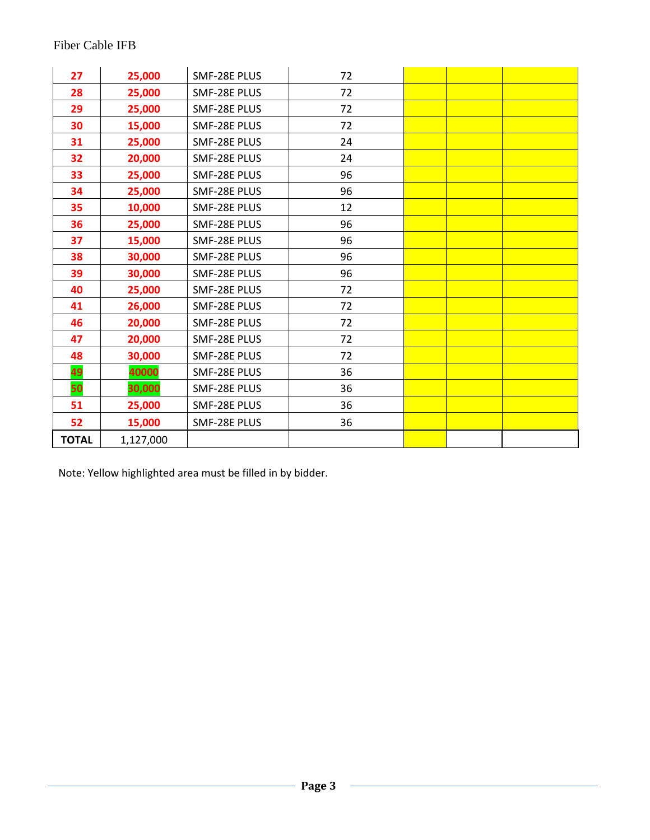| 27           | 25,000    | SMF-28E PLUS | 72 |  |  |
|--------------|-----------|--------------|----|--|--|
| 28           | 25,000    | SMF-28E PLUS | 72 |  |  |
| 29           | 25,000    | SMF-28E PLUS | 72 |  |  |
| 30           | 15,000    | SMF-28E PLUS | 72 |  |  |
| 31           | 25,000    | SMF-28E PLUS | 24 |  |  |
| 32           | 20,000    | SMF-28E PLUS | 24 |  |  |
| 33           | 25,000    | SMF-28E PLUS | 96 |  |  |
| 34           | 25,000    | SMF-28E PLUS | 96 |  |  |
| 35           | 10,000    | SMF-28E PLUS | 12 |  |  |
| 36           | 25,000    | SMF-28E PLUS | 96 |  |  |
| 37           | 15,000    | SMF-28E PLUS | 96 |  |  |
| 38           | 30,000    | SMF-28E PLUS | 96 |  |  |
| 39           | 30,000    | SMF-28E PLUS | 96 |  |  |
| 40           | 25,000    | SMF-28E PLUS | 72 |  |  |
| 41           | 26,000    | SMF-28E PLUS | 72 |  |  |
| 46           | 20,000    | SMF-28E PLUS | 72 |  |  |
| 47           | 20,000    | SMF-28E PLUS | 72 |  |  |
| 48           | 30,000    | SMF-28E PLUS | 72 |  |  |
| 49           | 40000     | SMF-28E PLUS | 36 |  |  |
| 50           | 30,000    | SMF-28E PLUS | 36 |  |  |
| 51           | 25,000    | SMF-28E PLUS | 36 |  |  |
| 52           | 15,000    | SMF-28E PLUS | 36 |  |  |
| <b>TOTAL</b> | 1,127,000 |              |    |  |  |

Note: Yellow highlighted area must be filled in by bidder.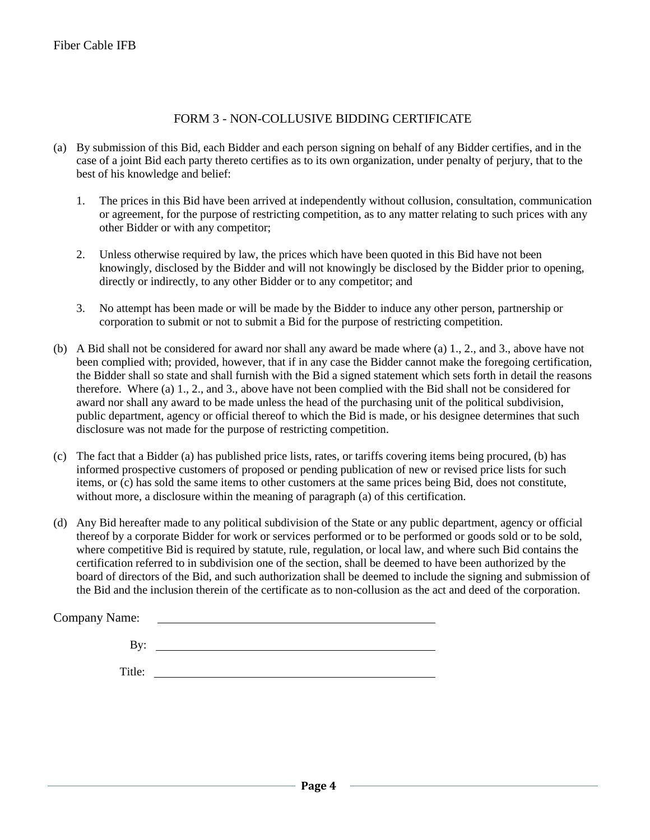#### FORM 3 - NON-COLLUSIVE BIDDING CERTIFICATE

- (a) By submission of this Bid, each Bidder and each person signing on behalf of any Bidder certifies, and in the case of a joint Bid each party thereto certifies as to its own organization, under penalty of perjury, that to the best of his knowledge and belief:
	- 1. The prices in this Bid have been arrived at independently without collusion, consultation, communication or agreement, for the purpose of restricting competition, as to any matter relating to such prices with any other Bidder or with any competitor;
	- 2. Unless otherwise required by law, the prices which have been quoted in this Bid have not been knowingly, disclosed by the Bidder and will not knowingly be disclosed by the Bidder prior to opening, directly or indirectly, to any other Bidder or to any competitor; and
	- 3. No attempt has been made or will be made by the Bidder to induce any other person, partnership or corporation to submit or not to submit a Bid for the purpose of restricting competition.
- (b) A Bid shall not be considered for award nor shall any award be made where (a) 1., 2., and 3., above have not been complied with; provided, however, that if in any case the Bidder cannot make the foregoing certification, the Bidder shall so state and shall furnish with the Bid a signed statement which sets forth in detail the reasons therefore. Where (a) 1., 2., and 3., above have not been complied with the Bid shall not be considered for award nor shall any award to be made unless the head of the purchasing unit of the political subdivision, public department, agency or official thereof to which the Bid is made, or his designee determines that such disclosure was not made for the purpose of restricting competition.
- (c) The fact that a Bidder (a) has published price lists, rates, or tariffs covering items being procured, (b) has informed prospective customers of proposed or pending publication of new or revised price lists for such items, or (c) has sold the same items to other customers at the same prices being Bid, does not constitute, without more, a disclosure within the meaning of paragraph (a) of this certification.
- (d) Any Bid hereafter made to any political subdivision of the State or any public department, agency or official thereof by a corporate Bidder for work or services performed or to be performed or goods sold or to be sold, where competitive Bid is required by statute, rule, regulation, or local law, and where such Bid contains the certification referred to in subdivision one of the section, shall be deemed to have been authorized by the board of directors of the Bid, and such authorization shall be deemed to include the signing and submission of the Bid and the inclusion therein of the certificate as to non-collusion as the act and deed of the corporation.

| <b>Company Name:</b> |  |
|----------------------|--|
|                      |  |

By:  $\qquad \qquad$ Title: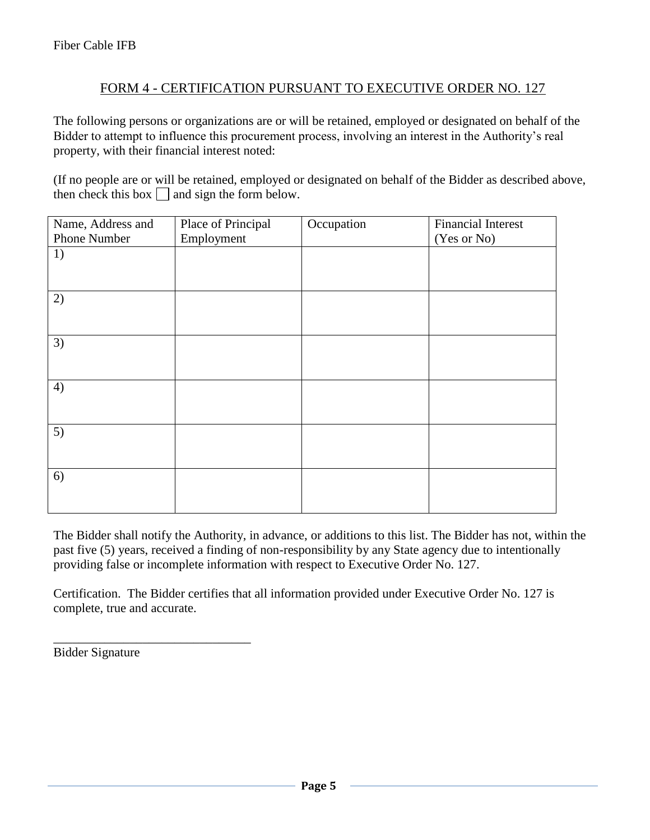### FORM 4 - CERTIFICATION PURSUANT TO EXECUTIVE ORDER NO. 127

The following persons or organizations are or will be retained, employed or designated on behalf of the Bidder to attempt to influence this procurement process, involving an interest in the Authority's real property, with their financial interest noted:

(If no people are or will be retained, employed or designated on behalf of the Bidder as described above, then check this box  $\Box$  and sign the form below.

| Name, Address and | Place of Principal | Occupation | <b>Financial Interest</b> |
|-------------------|--------------------|------------|---------------------------|
| Phone Number      | Employment         |            | (Yes or No)               |
| 1)                |                    |            |                           |
| 2)                |                    |            |                           |
| 3)                |                    |            |                           |
| 4)                |                    |            |                           |
| 5)                |                    |            |                           |
| 6)                |                    |            |                           |

The Bidder shall notify the Authority, in advance, or additions to this list. The Bidder has not, within the past five (5) years, received a finding of non-responsibility by any State agency due to intentionally providing false or incomplete information with respect to Executive Order No. 127.

Certification. The Bidder certifies that all information provided under Executive Order No. 127 is complete, true and accurate.

Bidder Signature

\_\_\_\_\_\_\_\_\_\_\_\_\_\_\_\_\_\_\_\_\_\_\_\_\_\_\_\_\_\_\_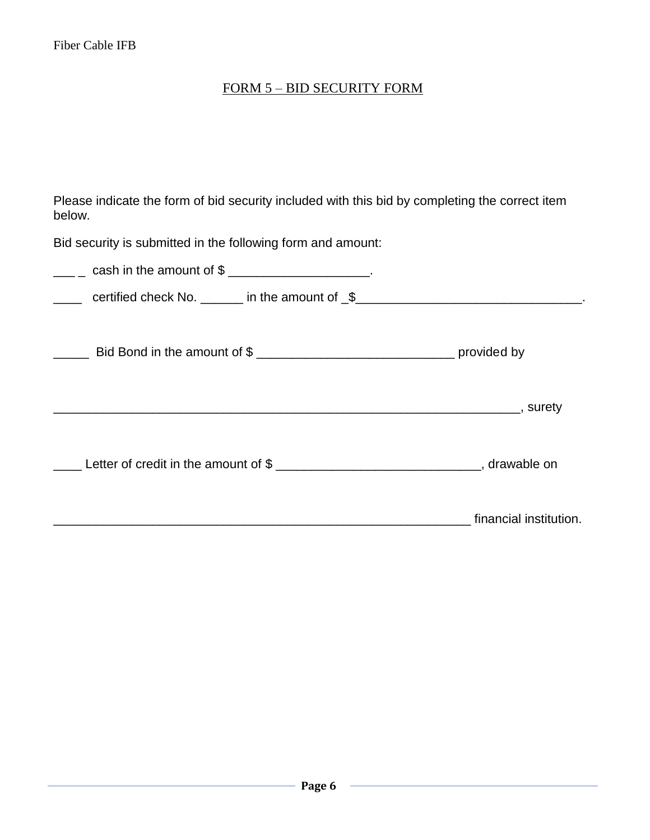### FORM 5 – BID SECURITY FORM

Please indicate the form of bid security included with this bid by completing the correct item below.

Bid security is submitted in the following form and amount:

| cash in the amount of $\frac{1}{2}$ [100] $\frac{1}{2}$ [100] $\frac{1}{2}$ [100] $\frac{1}{2}$ [100] $\frac{1}{2}$ [100] $\frac{1}{2}$ [100] $\frac{1}{2}$ [100] $\frac{1}{2}$ [100] $\frac{1}{2}$ [100] $\frac{1}{2}$ [100] $\frac{1}{2}$ [100] $\frac{1}{2}$ [100] $\frac{1}{2$                        |                        |
|-----------------------------------------------------------------------------------------------------------------------------------------------------------------------------------------------------------------------------------------------------------------------------------------------------------|------------------------|
| certified check No. $\frac{1}{2}$ in the amount of $\frac{1}{2}$ $\frac{1}{2}$ $\frac{1}{2}$ $\frac{1}{2}$ $\frac{1}{2}$ $\frac{1}{2}$ $\frac{1}{2}$ $\frac{1}{2}$ $\frac{1}{2}$ $\frac{1}{2}$ $\frac{1}{2}$ $\frac{1}{2}$ $\frac{1}{2}$ $\frac{1}{2}$ $\frac{1}{2}$ $\frac{1}{2}$ $\frac{1}{2}$ $\frac{$ |                        |
|                                                                                                                                                                                                                                                                                                           |                        |
|                                                                                                                                                                                                                                                                                                           |                        |
| Letter of credit in the amount of \$                                                                                                                                                                                                                                                                      |                        |
|                                                                                                                                                                                                                                                                                                           | financial institution. |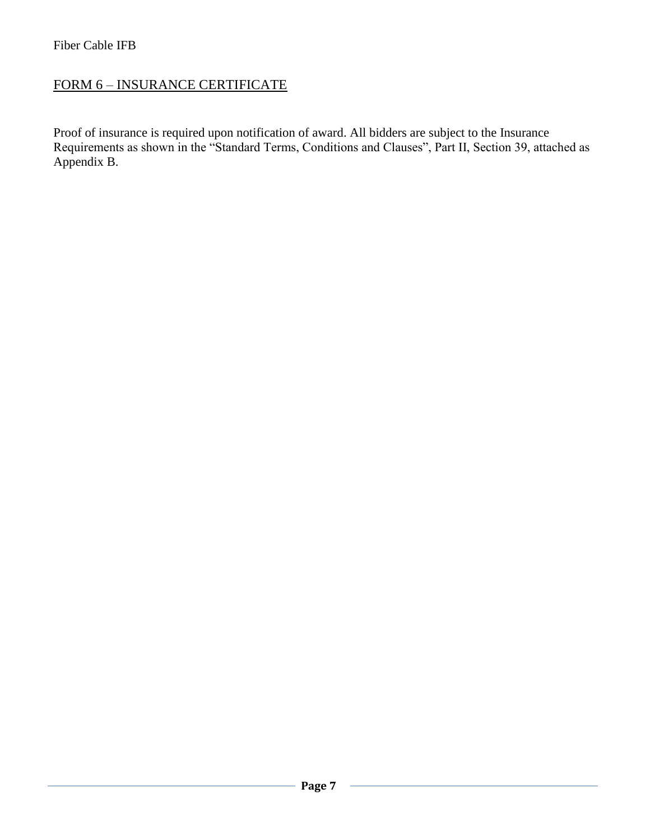# FORM 6 – INSURANCE CERTIFICATE

Proof of insurance is required upon notification of award. All bidders are subject to the Insurance Requirements as shown in the "Standard Terms, Conditions and Clauses", Part II, Section 39, attached as Appendix B.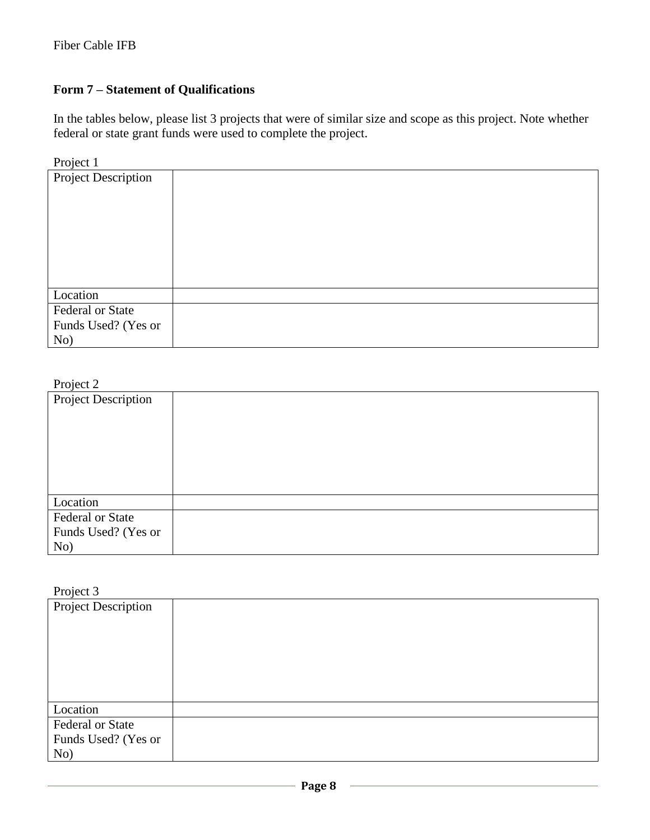# **Form 7 – Statement of Qualifications**

In the tables below, please list 3 projects that were of similar size and scope as this project. Note whether federal or state grant funds were used to complete the project.

Project 1

| ◡<br><b>Project Description</b> |  |
|---------------------------------|--|
|                                 |  |
| Location                        |  |
| Federal or State                |  |
| Funds Used? (Yes or             |  |
| No)                             |  |

#### Project 2

| $\ldots$ , $\ldots$ $\ldots$ |  |
|------------------------------|--|
| <b>Project Description</b>   |  |
| Location                     |  |
| Federal or State             |  |
| Funds Used? (Yes or          |  |
| No)                          |  |

Project 3

| $\sim$ $\sim$ $\sim$ $\sim$<br><b>Project Description</b> |  |
|-----------------------------------------------------------|--|
|                                                           |  |
|                                                           |  |
|                                                           |  |
| Location                                                  |  |
| Federal or State                                          |  |
| Funds Used? (Yes or                                       |  |
| No)                                                       |  |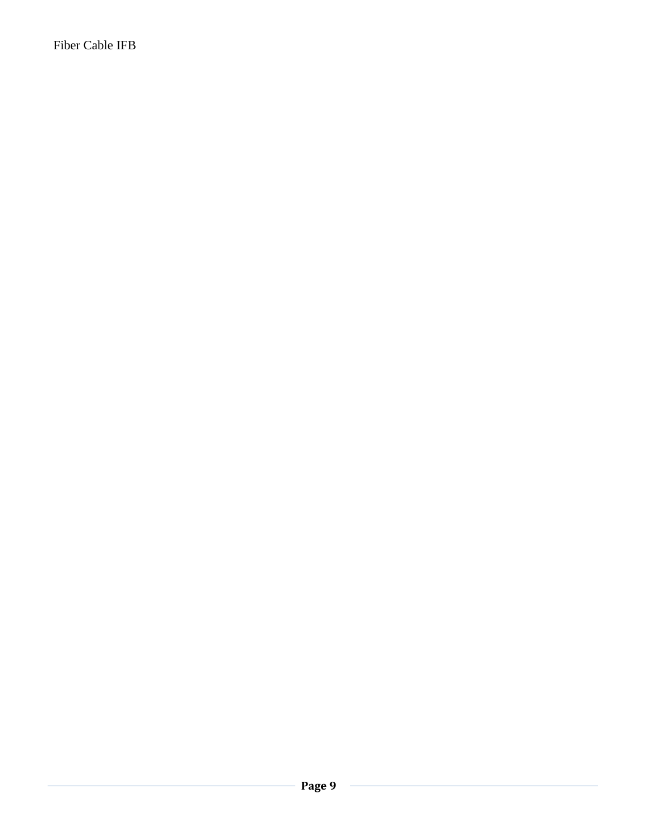Fiber Cable IFB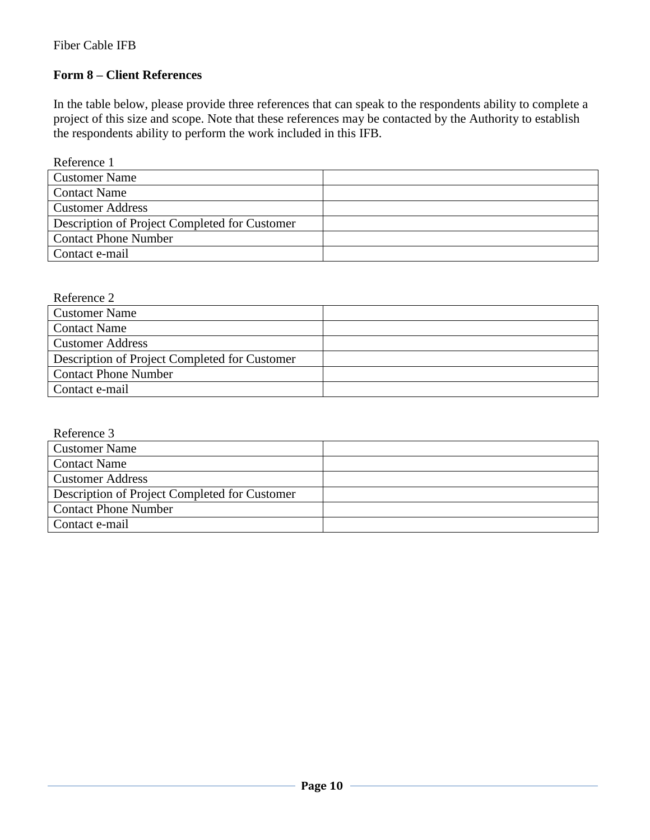#### **Form 8 – Client References**

In the table below, please provide three references that can speak to the respondents ability to complete a project of this size and scope. Note that these references may be contacted by the Authority to establish the respondents ability to perform the work included in this IFB.

| Reference 1                                   |  |
|-----------------------------------------------|--|
| <b>Customer Name</b>                          |  |
| <b>Contact Name</b>                           |  |
| <b>Customer Address</b>                       |  |
| Description of Project Completed for Customer |  |
| <b>Contact Phone Number</b>                   |  |
| Contact e-mail                                |  |

| Reference 2                                   |  |
|-----------------------------------------------|--|
| <b>Customer Name</b>                          |  |
| <b>Contact Name</b>                           |  |
| <b>Customer Address</b>                       |  |
| Description of Project Completed for Customer |  |
| <b>Contact Phone Number</b>                   |  |
| Contact e-mail                                |  |

| Reference 3                                   |  |
|-----------------------------------------------|--|
| <b>Customer Name</b>                          |  |
| <b>Contact Name</b>                           |  |
| <b>Customer Address</b>                       |  |
| Description of Project Completed for Customer |  |
| <b>Contact Phone Number</b>                   |  |
| Contact e-mail                                |  |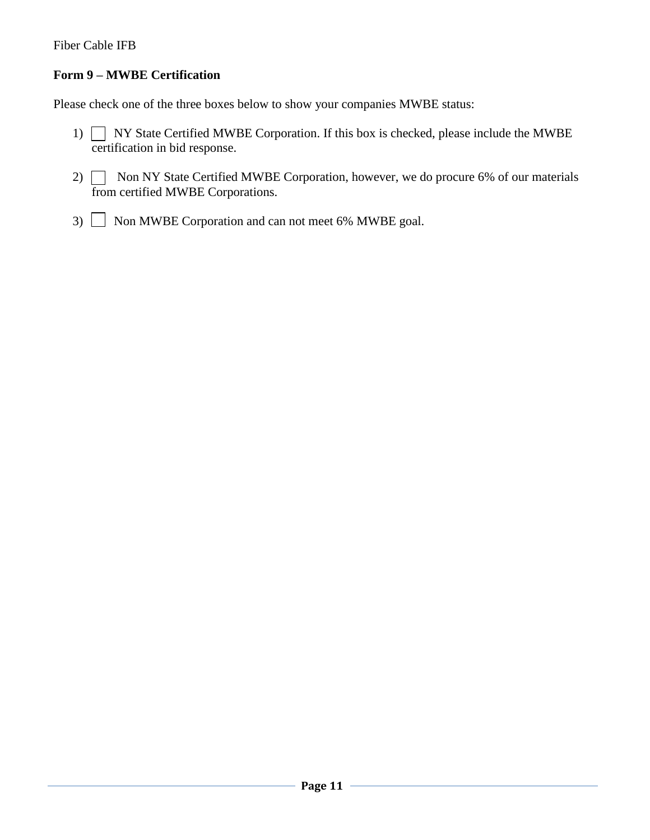### **Form 9 – MWBE Certification**

Please check one of the three boxes below to show your companies MWBE status:

- 1) NY State Certified MWBE Corporation. If this box is checked, please include the MWBE certification in bid response.
- 2)  $\Box$  Non NY State Certified MWBE Corporation, however, we do procure 6% of our materials from certified MWBE Corporations.
- 3) Non MWBE Corporation and can not meet 6% MWBE goal.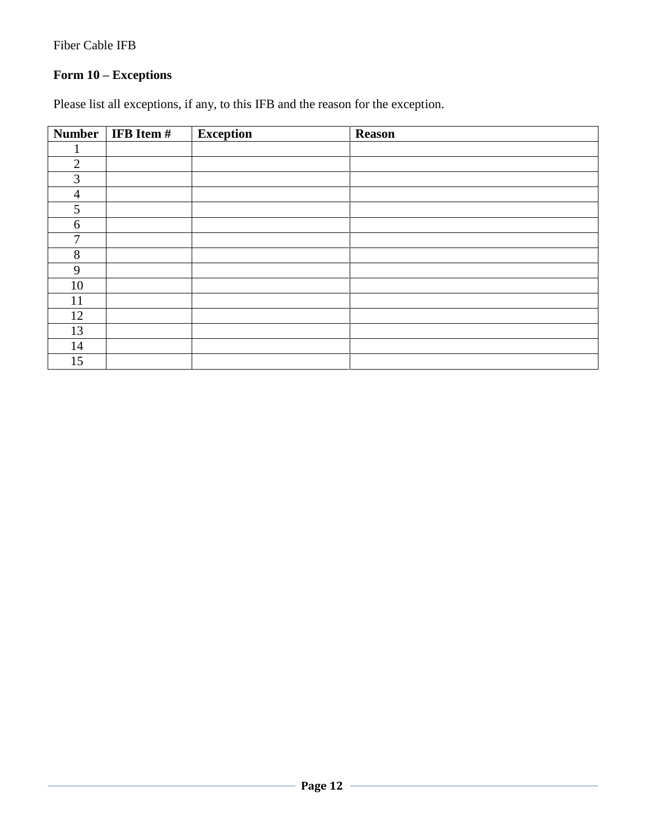# **Form 10 – Exceptions**

Please list all exceptions, if any, to this IFB and the reason for the exception.

|                | Number   IFB Item $#$ | <b>Exception</b> | <b>Reason</b> |
|----------------|-----------------------|------------------|---------------|
|                |                       |                  |               |
| $\overline{2}$ |                       |                  |               |
| 3              |                       |                  |               |
| $\overline{4}$ |                       |                  |               |
| 5              |                       |                  |               |
| 6              |                       |                  |               |
| 7              |                       |                  |               |
| $8\,$          |                       |                  |               |
| 9              |                       |                  |               |
| 10             |                       |                  |               |
| 11             |                       |                  |               |
| 12             |                       |                  |               |
| 13             |                       |                  |               |
| 14             |                       |                  |               |
| 15             |                       |                  |               |